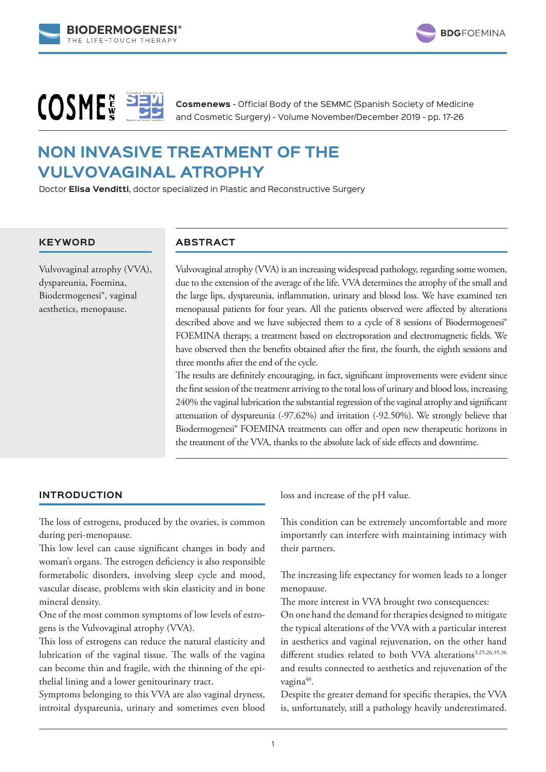



# **COSME**

**Cosmenews** - Official Body of the SEMMC (Spanish Society of Medicine and Cosmetic Surgery) - Volume November/December 2019 - pp. 17-26

# **NON INVASIVE TREATMENT OF THE VULVOVAGINAL ATROPHY**

Doctor **Elisa Venditti**, doctor specialized in Plastic and Reconstructive Surgery

# **KEYWORD**

Vulvovaginal atrophy (VVA), dyspareunia, Foemina, Biodermogenesi®, vaginal aesthetics, menopause.

# **ABSTRACT**

Vulvovaginal atrophy (VVA) is an increasing widespread pathology, regarding some women, due to the extension of the average of the life. VVA determines the atrophy of the small and the large lips, dyspareunia, inflammation, urinary and blood loss. We have examined ten menopausal patients for four years. All the patients observed were affected by alterations described above and we have subjected them to a cycle of 8 sessions of Biodermogenesi<sup>®</sup> FOEMINA therapy, a treatment based on electroporation and electromagnetic fields. We have observed then the benefits obtained after the first, the fourth, the eighth sessions and three months after the end of the cycle.

The results are definitely encouraging, in fact, significant improvements were evident since the first session of the treatment arriving to the total loss of urinary and blood loss, increasing 240% the vaginal lubrication the substantial regression of the vaginal atrophy and significant attenuation of dyspareunia (-97.62%) and irritation (-92.50%). We strongly believe that Biodermogenesi® FOEMINA treatments can offer and open new therapeutic horizons in the treatment of the VVA, thanks to the absolute lack of side effects and downtime.

# **INTRODUCTION**

The loss of estrogens, produced by the ovaries, is common during peri-menopause.

This low level can cause significant changes in body and woman's organs. The estrogen deficiency is also responsible formetabolic disorders, involving sleep cycle and mood, vascular disease, problems with skin elasticity and in bone mineral density.

One of the most common symptoms of low levels of estrogens is the Vulvovaginal atrophy (VVA).

This loss of estrogens can reduce the natural elasticity and lubrication of the vaginal tissue. The walls of the vagina can become thin and fragile, with the thinning of the epithelial lining and a lower genitourinary tract.

Symptoms belonging to this VVA are also vaginal dryness, introital dyspareunia, urinary and sometimes even blood loss and increase of the pH value.

This condition can be extremely uncomfortable and more importantly can interfere with maintaining intimacy with their partners.

The increasing life expectancy for women leads to a longer menopause.

The more interest in VVA brought two consequences:

On one hand the demand for therapies designed to mitigate the typical alterations of the VVA with a particular interest in aesthetics and vaginal rejuvenation, on the other hand different studies related to both VVA alterations<sup>3,25,26,35,36</sup> and results connected to aesthetics and rejuvenation of the vagina<sup>40</sup>.

Despite the greater demand for specific therapies, the VVA is, unfortunately, still a pathology heavily underestimated.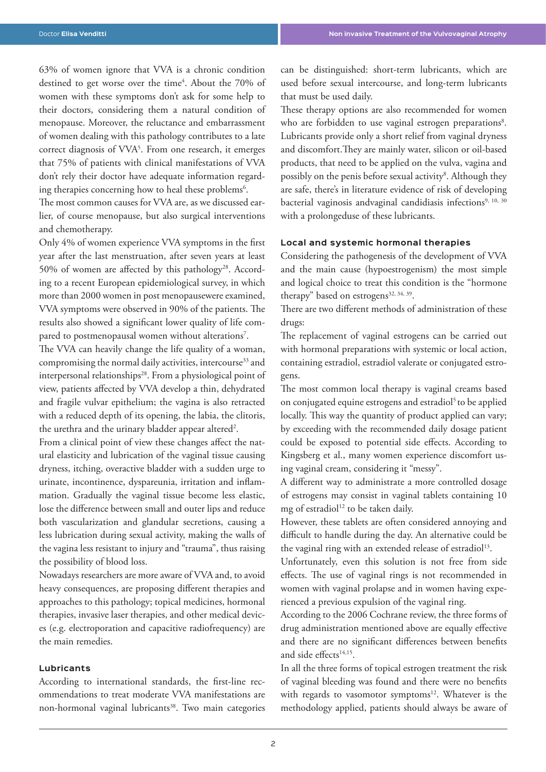63% of women ignore that VVA is a chronic condition destined to get worse over the time<sup>4</sup>. About the 70% of women with these symptoms don't ask for some help to their doctors, considering them a natural condition of menopause. Moreover, the reluctance and embarrassment of women dealing with this pathology contributes to a late correct diagnosis of VVA5 . From one research, it emerges that 75% of patients with clinical manifestations of VVA don't rely their doctor have adequate information regarding therapies concerning how to heal these problems $\delta$ .

The most common causes for VVA are, as we discussed earlier, of course menopause, but also surgical interventions and chemotherapy.

Only 4% of women experience VVA symptoms in the first year after the last menstruation, after seven years at least 50% of women are affected by this pathology<sup>28</sup>. According to a recent European epidemiological survey, in which more than 2000 women in post menopausewere examined, VVA symptoms were observed in 90% of the patients. The results also showed a significant lower quality of life compared to postmenopausal women without alterations<sup>7</sup>.

The VVA can heavily change the life quality of a woman, compromising the normal daily activities, intercourse<sup>33</sup> and interpersonal relationships<sup>28</sup>. From a physiological point of view, patients affected by VVA develop a thin, dehydrated and fragile vulvar epithelium; the vagina is also retracted with a reduced depth of its opening, the labia, the clitoris, the urethra and the urinary bladder appear altered<sup>2</sup>.

From a clinical point of view these changes affect the natural elasticity and lubrication of the vaginal tissue causing dryness, itching, overactive bladder with a sudden urge to urinate, incontinence, dyspareunia, irritation and inflammation. Gradually the vaginal tissue become less elastic, lose the difference between small and outer lips and reduce both vascularization and glandular secretions, causing a less lubrication during sexual activity, making the walls of the vagina less resistant to injury and "trauma", thus raising the possibility of blood loss.

Nowadays researchers are more aware of VVA and, to avoid heavy consequences, are proposing different therapies and approaches to this pathology; topical medicines, hormonal therapies, invasive laser therapies, and other medical devices (e.g. electroporation and capacitive radiofrequency) are the main remedies.

# **Lubricants**

According to international standards, the first-line recommendations to treat moderate VVA manifestations are non-hormonal vaginal lubricants<sup>38</sup>. Two main categories can be distinguished: short-term lubricants, which are used before sexual intercourse, and long-term lubricants that must be used daily.

These therapy options are also recommended for women who are forbidden to use vaginal estrogen preparations<sup>8</sup>. Lubricants provide only a short relief from vaginal dryness and discomfort.They are mainly water, silicon or oil-based products, that need to be applied on the vulva, vagina and possibly on the penis before sexual activity<sup>8</sup>. Although they are safe, there's in literature evidence of risk of developing bacterial vaginosis andvaginal candidiasis infections<sup>9, 10, 30</sup> with a prolongeduse of these lubricants.

#### **Local and systemic hormonal therapies**

Considering the pathogenesis of the development of VVA and the main cause (hypoestrogenism) the most simple and logical choice to treat this condition is the "hormone therapy" based on estrogens $32, 34, 39$ .

There are two different methods of administration of these drugs:

The replacement of vaginal estrogens can be carried out with hormonal preparations with systemic or local action, containing estradiol, estradiol valerate or conjugated estrogens.

The most common local therapy is vaginal creams based on conjugated equine estrogens and estradiol<sup>5</sup> to be applied locally. This way the quantity of product applied can vary; by exceeding with the recommended daily dosage patient could be exposed to potential side effects. According to Kingsberg et al., many women experience discomfort using vaginal cream, considering it "messy".

A different way to administrate a more controlled dosage of estrogens may consist in vaginal tablets containing 10 mg of estradiol<sup>12</sup> to be taken daily.

However, these tablets are often considered annoying and difficult to handle during the day. An alternative could be the vaginal ring with an extended release of estradiol<sup>13</sup>.

Unfortunately, even this solution is not free from side effects. The use of vaginal rings is not recommended in women with vaginal prolapse and in women having experienced a previous expulsion of the vaginal ring.

According to the 2006 Cochrane review, the three forms of drug administration mentioned above are equally effective and there are no significant differences between benefits and side effects<sup>14,15</sup>.

In all the three forms of topical estrogen treatment the risk of vaginal bleeding was found and there were no benefits with regards to vasomotor symptoms<sup>12</sup>. Whatever is the methodology applied, patients should always be aware of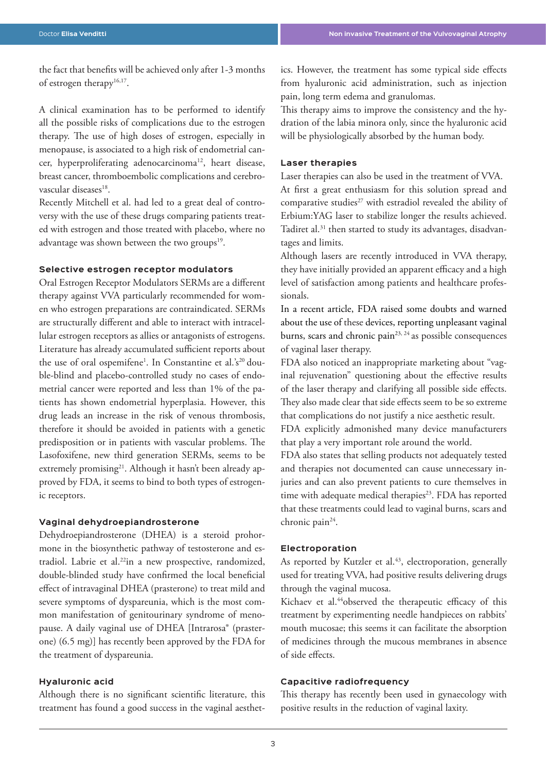the fact that benefits will be achieved only after 1-3 months of estrogen therapy<sup>16,17</sup>.

A clinical examination has to be performed to identify all the possible risks of complications due to the estrogen therapy. The use of high doses of estrogen, especially in menopause, is associated to a high risk of endometrial cancer, hyperproliferating adenocarcinoma<sup>12</sup>, heart disease, breast cancer, thromboembolic complications and cerebrovascular diseases<sup>18</sup>.

Recently Mitchell et al. had led to a great deal of controversy with the use of these drugs comparing patients treated with estrogen and those treated with placebo, where no advantage was shown between the two groups<sup>19</sup>.

# **Selective estrogen receptor modulators**

Oral Estrogen Receptor Modulators SERMs are a different therapy against VVA particularly recommended for women who estrogen preparations are contraindicated. SERMs are structurally different and able to interact with intracellular estrogen receptors as allies or antagonists of estrogens. Literature has already accumulated sufficient reports about the use of oral ospemifene<sup>1</sup>. In Constantine et al.'s<sup>20</sup> double-blind and placebo-controlled study no cases of endometrial cancer were reported and less than 1% of the patients has shown endometrial hyperplasia. However, this drug leads an increase in the risk of venous thrombosis, therefore it should be avoided in patients with a genetic predisposition or in patients with vascular problems. The Lasofoxifene, new third generation SERMs, seems to be extremely promising<sup>21</sup>. Although it hasn't been already approved by FDA, it seems to bind to both types of estrogenic receptors.

#### **Vaginal dehydroepiandrosterone**

Dehydroepiandrosterone (DHEA) is a steroid prohormone in the biosynthetic pathway of testosterone and estradiol. Labrie et al.22in a new prospective, randomized, double-blinded study have confirmed the local beneficial effect of intravaginal DHEA (prasterone) to treat mild and severe symptoms of dyspareunia, which is the most common manifestation of genitourinary syndrome of menopause. A daily vaginal use of DHEA [Intrarosa® (prasterone) (6.5 mg)] has recently been approved by the FDA for the treatment of dyspareunia.

# **Hyaluronic acid**

Although there is no significant scientific literature, this treatment has found a good success in the vaginal aesthetics. However, the treatment has some typical side effects from hyaluronic acid administration, such as injection pain, long term edema and granulomas.

This therapy aims to improve the consistency and the hydration of the labia minora only, since the hyaluronic acid will be physiologically absorbed by the human body.

### **Laser therapies**

Laser therapies can also be used in the treatment of VVA. At first a great enthusiasm for this solution spread and comparative studies<sup>27</sup> with estradiol revealed the ability of Erbium:YAG laser to stabilize longer the results achieved. Tadiret al.<sup>31</sup> then started to study its advantages, disadvantages and limits.

Although lasers are recently introduced in VVA therapy, they have initially provided an apparent efficacy and a high level of satisfaction among patients and healthcare professionals.

In a recent article, FDA raised some doubts and warned about the use of these devices, reporting unpleasant vaginal burns, scars and chronic pain $2^{3, 24}$  as possible consequences of vaginal laser therapy.

FDA also noticed an inappropriate marketing about "vaginal rejuvenation" questioning about the effective results of the laser therapy and clarifying all possible side effects. They also made clear that side effects seem to be so extreme that complications do not justify a nice aesthetic result.

FDA explicitly admonished many device manufacturers that play a very important role around the world.

FDA also states that selling products not adequately tested and therapies not documented can cause unnecessary injuries and can also prevent patients to cure themselves in time with adequate medical therapies<sup>23</sup>. FDA has reported that these treatments could lead to vaginal burns, scars and chronic pain<sup>24</sup>.

## **Electroporation**

As reported by Kutzler et al.<sup>43</sup>, electroporation, generally used for treating VVA, had positive results delivering drugs through the vaginal mucosa.

Kichaev et al.<sup>44</sup>observed the therapeutic efficacy of this treatment by experimenting needle handpieces on rabbits' mouth mucosae; this seems it can facilitate the absorption of medicines through the mucous membranes in absence of side effects.

# **Capacitive radiofrequency**

This therapy has recently been used in gynaecology with positive results in the reduction of vaginal laxity.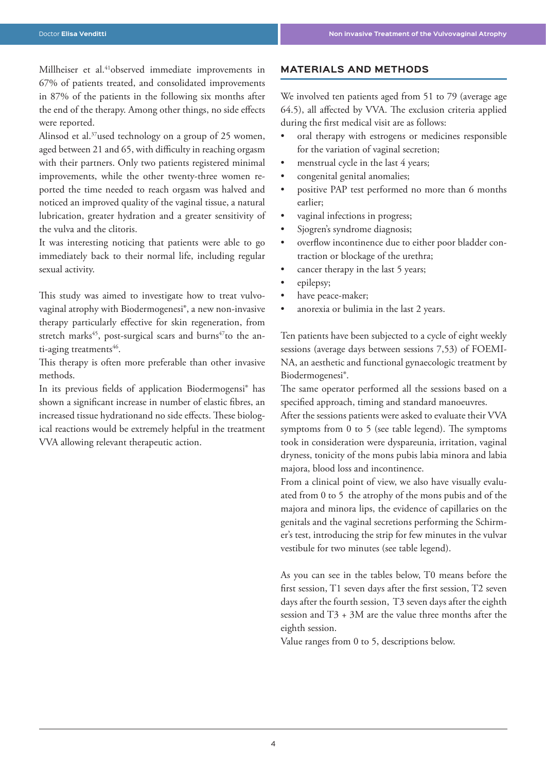Millheiser et al.<sup>41</sup>observed immediate improvements in 67% of patients treated, and consolidated improvements in 87% of the patients in the following six months after the end of the therapy. Among other things, no side effects were reported.

Alinsod et al.<sup>37</sup>used technology on a group of 25 women, aged between 21 and 65, with difficulty in reaching orgasm with their partners. Only two patients registered minimal improvements, while the other twenty-three women reported the time needed to reach orgasm was halved and noticed an improved quality of the vaginal tissue, a natural lubrication, greater hydration and a greater sensitivity of the vulva and the clitoris.

It was interesting noticing that patients were able to go immediately back to their normal life, including regular sexual activity.

This study was aimed to investigate how to treat vulvovaginal atrophy with Biodermogenesi®, a new non-invasive therapy particularly effective for skin regeneration, from stretch marks<sup>45</sup>, post-surgical scars and burns<sup>47</sup>to the anti-aging treatments<sup>46</sup>.

This therapy is often more preferable than other invasive methods.

In its previous fields of application Biodermogensi® has shown a significant increase in number of elastic fibres, an increased tissue hydrationand no side effects. These biological reactions would be extremely helpful in the treatment VVA allowing relevant therapeutic action.

# **MATERIALS AND METHODS**

We involved ten patients aged from 51 to 79 (average age 64.5), all affected by VVA. The exclusion criteria applied during the first medical visit are as follows:

- oral therapy with estrogens or medicines responsible for the variation of vaginal secretion;
- menstrual cycle in the last 4 years;
- congenital genital anomalies;
- positive PAP test performed no more than 6 months earlier;
- vaginal infections in progress;
- Sjogren's syndrome diagnosis;
- overflow incontinence due to either poor bladder contraction or blockage of the urethra;
- cancer therapy in the last 5 years;
- epilepsy;
- have peace-maker;
- anorexia or bulimia in the last 2 years.

Ten patients have been subjected to a cycle of eight weekly sessions (average days between sessions 7,53) of FOEMI-NA, an aesthetic and functional gynaecologic treatment by Biodermogenesi®.

The same operator performed all the sessions based on a specified approach, timing and standard manoeuvres.

After the sessions patients were asked to evaluate their VVA symptoms from 0 to 5 (see table legend). The symptoms took in consideration were dyspareunia, irritation, vaginal dryness, tonicity of the mons pubis labia minora and labia majora, blood loss and incontinence.

From a clinical point of view, we also have visually evaluated from 0 to 5 the atrophy of the mons pubis and of the majora and minora lips, the evidence of capillaries on the genitals and the vaginal secretions performing the Schirmer's test, introducing the strip for few minutes in the vulvar vestibule for two minutes (see table legend).

As you can see in the tables below, T0 means before the first session, T1 seven days after the first session, T2 seven days after the fourth session, T3 seven days after the eighth session and T3 + 3M are the value three months after the eighth session.

Value ranges from 0 to 5, descriptions below.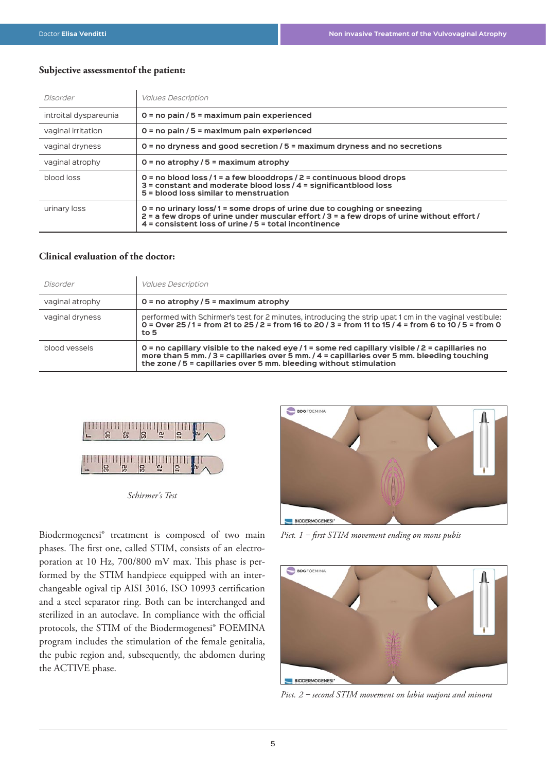# **Subjective assessmentof the patient:**

| Disorder              | <b>Values Description</b>                                                                                                                                                                                                        |
|-----------------------|----------------------------------------------------------------------------------------------------------------------------------------------------------------------------------------------------------------------------------|
| introital dyspareunia | $0 = no$ pain / 5 = maximum pain experienced                                                                                                                                                                                     |
| vaginal irritation    | $0 = no$ pain / 5 = maximum pain experienced                                                                                                                                                                                     |
| vaginal dryness       | $0 =$ no dryness and good secretion / $5 =$ maximum dryness and no secretions                                                                                                                                                    |
| vaginal atrophy       | $0 = no$ atrophy / 5 = maximum atrophy                                                                                                                                                                                           |
| blood loss            | 0 = no blood loss /1 = a few blooddrops /2 = continuous blood drops<br>3 = constant and moderate blood loss / 4 = significantblood loss<br>5 = blood loss similar to menstruation                                                |
| urinary loss          | $0 =$ no urinary loss/1 = some drops of urine due to coughing or sneezing<br>2 = a few drops of urine under muscular effort / 3 = a few drops of urine without effort /<br>4 = consistent loss of urine / 5 = total incontinence |

# **Clinical evaluation of the doctor:**

| Disorder        | <b>Values Description</b>                                                                                                                                                                                                                                      |
|-----------------|----------------------------------------------------------------------------------------------------------------------------------------------------------------------------------------------------------------------------------------------------------------|
| vaginal atrophy | $0 = no$ atrophy / 5 = maximum atrophy                                                                                                                                                                                                                         |
| vaginal dryness | performed with Schirmer's test for 2 minutes, introducing the strip upat 1 cm in the vaginal vestibule:<br>0 = Over 25/1 = from 21 to 25/2 = from 16 to 20/3 = from 11 to 15/4 = from 6 to 10/5 = from 0<br>to 5                                               |
| blood vessels   | 0 = no capillary visible to the naked eye /1 = some red capillary visible /2 = capillaries no<br>more than 5 mm./3 = capillaries over 5 mm./4 = capillaries over 5 mm. bleeding touching<br>the zone / 5 = capillaries over 5 mm. bleeding without stimulation |



*Schirmer's Test*

Biodermogenesi® treatment is composed of two main phases. The first one, called STIM, consists of an electroporation at 10 Hz, 700/800 mV max. This phase is performed by the STIM handpiece equipped with an interchangeable ogival tip AISI 3016, ISO 10993 certification and a steel separator ring. Both can be interchanged and sterilized in an autoclave. In compliance with the official protocols, the STIM of the Biodermogenesi® FOEMINA program includes the stimulation of the female genitalia, the pubic region and, subsequently, the abdomen during the ACTIVE phase.



*Pict. 1 ‒ first STIM movement ending on mons pubis*



*Pict. 2 ‒ second STIM movement on labia majora and minora*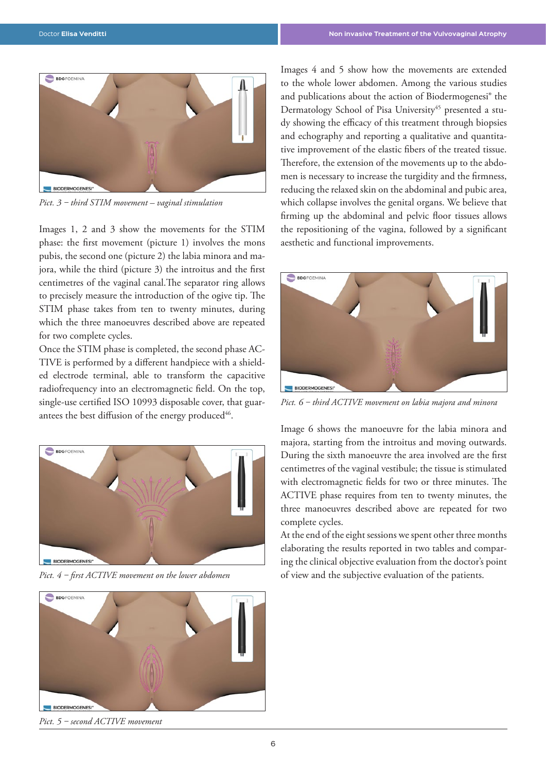![](_page_5_Picture_2.jpeg)

*Pict. 3 ‒ third STIM movement – vaginal stimulation*

Images 1, 2 and 3 show the movements for the STIM phase: the first movement (picture 1) involves the mons pubis, the second one (picture 2) the labia minora and majora, while the third (picture 3) the introitus and the first centimetres of the vaginal canal.The separator ring allows to precisely measure the introduction of the ogive tip. The STIM phase takes from ten to twenty minutes, during which the three manoeuvres described above are repeated for two complete cycles.

Once the STIM phase is completed, the second phase AC-TIVE is performed by a different handpiece with a shielded electrode terminal, able to transform the capacitive radiofrequency into an electromagnetic field. On the top, single-use certified ISO 10993 disposable cover, that guarantees the best diffusion of the energy produced<sup>46</sup>.

![](_page_5_Picture_6.jpeg)

*Pict. 4 ‒ first ACTIVE movement on the lower abdomen*

![](_page_5_Picture_8.jpeg)

*Pict. 5 ‒ second ACTIVE movement*

Images 4 and 5 show how the movements are extended to the whole lower abdomen. Among the various studies and publications about the action of Biodermogenesi® the Dermatology School of Pisa University<sup>45</sup> presented a study showing the efficacy of this treatment through biopsies and echography and reporting a qualitative and quantitative improvement of the elastic fibers of the treated tissue. Therefore, the extension of the movements up to the abdomen is necessary to increase the turgidity and the firmness, reducing the relaxed skin on the abdominal and pubic area, which collapse involves the genital organs. We believe that firming up the abdominal and pelvic floor tissues allows the repositioning of the vagina, followed by a significant aesthetic and functional improvements.

![](_page_5_Picture_11.jpeg)

*Pict. 6 ‒ third ACTIVE movement on labia majora and minora*

Image 6 shows the manoeuvre for the labia minora and majora, starting from the introitus and moving outwards. During the sixth manoeuvre the area involved are the first centimetres of the vaginal vestibule; the tissue is stimulated with electromagnetic fields for two or three minutes. The ACTIVE phase requires from ten to twenty minutes, the three manoeuvres described above are repeated for two complete cycles.

At the end of the eight sessions we spent other three months elaborating the results reported in two tables and comparing the clinical objective evaluation from the doctor's point of view and the subjective evaluation of the patients.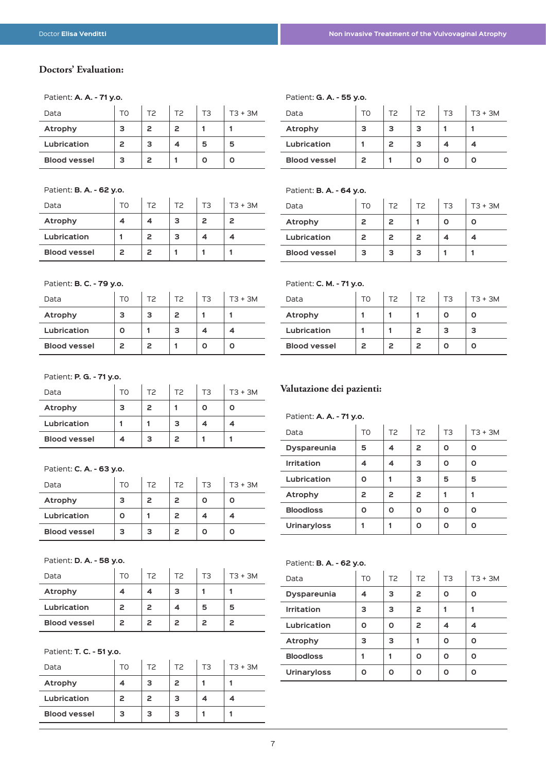# **Doctors' Evaluation:**

#### Patient: **A. A. - 71 y.o.**

| Data                | TΩ | T2 | T <sub>2</sub> | T3 | $T3 + 3M$ |
|---------------------|----|----|----------------|----|-----------|
| Atrophy             | З  | 2  | 2              |    |           |
| Lubrication         | 2  | з  |                | 5  | 5         |
| <b>Blood vessel</b> | з  | 2  |                |    |           |

#### Patient: **B. A. - 62 y.o.**

| Data                | TO | T2 | T <sub>2</sub> | T3 | $T3 + 3M$ |
|---------------------|----|----|----------------|----|-----------|
| Atrophy             |    |    | з              |    | 2         |
| Lubrication         |    | 2  | з              |    |           |
| <b>Blood vessel</b> | 2  | 2  |                |    |           |

# Patient: **G. A. - 55 y.o.**

| Data                | TΩ | TP. | T2 | TЗ | $T3 + 3M$ |
|---------------------|----|-----|----|----|-----------|
| Atrophy             |    | з   | з  |    |           |
| Lubrication         |    | 2   | з  |    |           |
| <b>Blood vessel</b> | 2  |     |    |    |           |

#### Patient: **B. A. - 64 y.o.**

| Data                | TΩ | T2 | T2 | TЗ | $T3 + 3M$ |
|---------------------|----|----|----|----|-----------|
| Atrophy             |    | 2  |    |    |           |
| Lubrication         | 2  | 2  | 2  |    |           |
| <b>Blood vessel</b> | з  | з  | З  |    |           |

#### Patient: **B. C. - 79 y.o.**

| Data                | TΟ | T <sub>2</sub> | T <sub>2</sub> | T3 | $T3 + 3M$ |
|---------------------|----|----------------|----------------|----|-----------|
| Atrophy             |    | з              | 2              |    |           |
| Lubrication         |    |                | з              |    |           |
| <b>Blood vessel</b> | 2  | 2              |                |    |           |

# Patient: **P. G. - 71 y.o.**

| Data                | TO | TP. | T2 | T3 | $T3 + 3M$ |
|---------------------|----|-----|----|----|-----------|
| Atrophy             |    | 2   |    |    |           |
| Lubrication         |    |     | З  |    |           |
| <b>Blood vessel</b> |    |     |    |    |           |

#### Patient: **C. A. - 63 y.o.**

| Data                | TΟ | T2 | T2 | ΤЗ | $T3 + 3M$ |
|---------------------|----|----|----|----|-----------|
| Atrophy             | з  | 2  | 2  |    |           |
| Lubrication         |    |    |    |    |           |
| <b>Blood vessel</b> | з  | з  |    |    |           |

#### Patient: **D. A. - 58 y.o.**

| Data                | TO | TP. | T2 | TЗ | $T3 + 3M$ |
|---------------------|----|-----|----|----|-----------|
| Atrophy             |    |     | з  |    |           |
| Lubrication         | 2  | 2   |    | 5  | 5         |
| <b>Blood vessel</b> | 2  | 2   |    | 2  | 2         |

#### Patient: **T. C. - 51 y.o.**

| Data                | т٥ | T2 | T2 | TЗ | $T3 + 3M$ |
|---------------------|----|----|----|----|-----------|
| Atrophy             |    | з  | 2  |    |           |
| Lubrication         | 2  | 2  | з  |    |           |
| <b>Blood vessel</b> | З  | з  | З  |    |           |

# Patient: **C. M. - 71 y.o.**

| Data                | TΩ | T2 | T2 | T3 | $T3 + 3M$ |
|---------------------|----|----|----|----|-----------|
| Atrophy             |    |    |    |    |           |
| Lubrication         |    |    |    | з  | з         |
| <b>Blood vessel</b> | 2  | 2  |    |    |           |

# **Valutazione dei pazienti:**

#### Patient: **A. A. - 71 y.o.**

| Data               | TO | T <sub>2</sub> | T <sub>2</sub> | T <sub>3</sub> | $T3 + 3M$ |
|--------------------|----|----------------|----------------|----------------|-----------|
| <b>Dyspareunia</b> | 5  | 4              | 2              | Ο              | ი         |
| <b>Irritation</b>  | 4  | 4              | з              | Ο              | ი         |
| Lubrication        | ი  |                | з              | 5              | 5         |
| Atrophy            | 2  | 2              | 2              |                |           |
| <b>Bloodloss</b>   | ი  | ٥              | ი              | Ο              | ი         |
| <b>Urinaryloss</b> |    |                | n              | ი              | n         |

 $\sim 10^{-1}$ 

#### Patient: **B. A. - 62 y.o.**

| Data               | T0 | T <sub>2</sub> | T <sub>2</sub> | T <sub>3</sub> | $T3 + 3M$ |
|--------------------|----|----------------|----------------|----------------|-----------|
| <b>Dyspareunia</b> | 4  | з              | 2              | Ο              | ٥         |
| <b>Irritation</b>  | з  | 3              | 2              |                |           |
| Lubrication        | ٥  | Ο              | 2              | 4              | 4         |
| Atrophy            | з  | з              |                | Ο              | Ο         |
| <b>Bloodloss</b>   |    |                | ი              | Ο              | ი         |
| <b>Urinaryloss</b> | ი  | ٥              |                | Ο              | n         |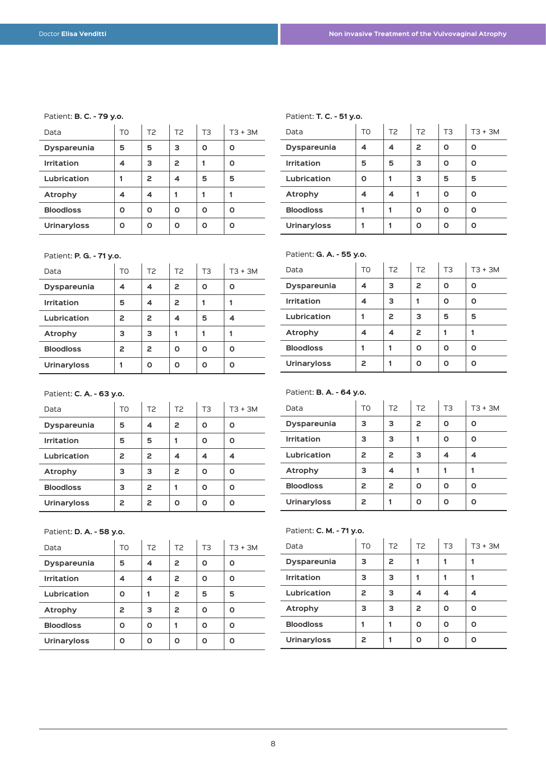#### Patient: **B. C. - 79 y.o.**

| Data               | TO | T <sub>2</sub> | T <sub>2</sub> | T <sub>3</sub> | $T3 + 3M$ |
|--------------------|----|----------------|----------------|----------------|-----------|
| <b>Dyspareunia</b> | 5  | 5              | з              | Ο              | n         |
| <b>Irritation</b>  |    | з              | 2              |                |           |
| Lubrication        |    | 2              |                | 5              | 5         |
| <b>Atrophy</b>     | 4  | 4              |                |                |           |
| <b>Bloodloss</b>   | ი  | ი              | ი              | ი              | n         |
| <b>Urinaryloss</b> | ი  | n              |                | n              |           |

# Patient: **P. G. - 71 y.o.**

| Data               | T <sub>0</sub> | T <sub>2</sub> | T <sub>2</sub> | T <sub>3</sub> | $T3 + 3M$ |  |
|--------------------|----------------|----------------|----------------|----------------|-----------|--|
| <b>Dyspareunia</b> | 4              | 4              | 2              | Ο              | ი         |  |
| <b>Irritation</b>  | 5              | 4              | 2              |                |           |  |
| Lubrication        | 2              | 2              | 4              | 5              | 4         |  |
| Atrophy            | з              | з              |                |                |           |  |
| <b>Bloodloss</b>   | 2              | 2              | ი              | Ο              | ດ         |  |
| <b>Urinaryloss</b> | 1              | Ο              | O              | Ο              | O         |  |

#### Patient: **C. A. - 63 y.o.**

| Data               | T0 | T <sub>2</sub> | T <sub>2</sub> | T <sub>3</sub> | $T3 + 3M$ |
|--------------------|----|----------------|----------------|----------------|-----------|
| <b>Dyspareunia</b> | 5  | 4              | 2              | O              | ი         |
| <b>Irritation</b>  | 5  | 5              |                | O              | ი         |
| Lubrication        | 2  | 2              | 4              |                |           |
| <b>Atrophy</b>     | з  | з              | 2              | ი              | n         |
| <b>Bloodloss</b>   | з  | 2              |                | ດ              | n         |
| <b>Urinaryloss</b> | 2  | 2              | ი              | n              | n         |

#### Patient: **D. A. - 58 y.o.**

| $1$ ation to $D$ . A. $-$ 30 y.o. |                |                |                |                |           |
|-----------------------------------|----------------|----------------|----------------|----------------|-----------|
| Data                              | T <sub>0</sub> | T <sub>2</sub> | T <sub>2</sub> | T <sub>3</sub> | $T3 + 3M$ |
| <b>Dyspareunia</b>                | 5              | 4              | 2              | n              | Ο         |
| <b>Irritation</b>                 | 4              | 4              | 2              | n              | Ο         |
| Lubrication                       | Ο              |                | 2              | 5              | 5         |
| Atrophy                           | 2              | з              | 2              | n              | Ο         |
| <b>Bloodloss</b>                  | Ο              | ი              |                | ი              | Ο         |
| <b>Urinaryloss</b>                | Ο              | n              | Ο              | O              | Ο         |

#### Patient: **T. C. - 51 y.o.**

| Data               | TO | T <sub>2</sub> | T <sub>2</sub> | T <sub>3</sub> | $T3 + 3M$ |
|--------------------|----|----------------|----------------|----------------|-----------|
| <b>Dyspareunia</b> | 4  | 4              | 2              | Ο              | ი         |
| <b>Irritation</b>  | 5  | 5              | з              | Ο              | Ο         |
| Lubrication        | Ο  |                | з              | 5              | 5         |
| <b>Atrophy</b>     | 4  | 4              |                | Ο              | ი         |
| <b>Bloodloss</b>   |    |                | ი              | Ο              | ი         |
| <b>Urinaryloss</b> |    |                | ი              | Ω              | ი         |

#### Patient: **G. A. - 55 y.o.**

| Faucht. <b>u. A. - JJ y.v.</b> |                |                |                |                |           |
|--------------------------------|----------------|----------------|----------------|----------------|-----------|
| Data                           | T <sub>0</sub> | T <sub>2</sub> | T <sub>2</sub> | T <sub>3</sub> | $T3 + 3M$ |
| <b>Dyspareunia</b>             | 4              | 3              | 2              | Ο              | Ο         |
| <b>Irritation</b>              | 4              | 3              |                | Ο              | Ο         |
| Lubrication                    |                | 2              | з              | 5              | 5         |
| <b>Atrophy</b>                 | 4              | 4              | 2              |                |           |
| <b>Bloodloss</b>               |                |                | O              | Ο              | ი         |
| <b>Urinaryloss</b>             | 2              |                |                | Ο              |           |

#### Patient: **B. A. - 64 y.o.**

| Data               | T0 | T <sub>2</sub> | T <sub>2</sub> | T <sub>3</sub> | $T3 + 3M$ |
|--------------------|----|----------------|----------------|----------------|-----------|
| <b>Dyspareunia</b> | з  | з              | 2              | Ο              | ດ         |
| <b>Irritation</b>  | з  | 3              |                | Ο              | n         |
| Lubrication        | 2  | 2              | з              | 4              |           |
| <b>Atrophy</b>     | з  | 4              |                |                |           |
| <b>Bloodloss</b>   | 2  | 2              | n              | O              | n         |
| <b>Urinaryloss</b> | 2  |                | n              | Ο              | n         |

# Patient: **C. M. - 71 y.o.**

| Data               | TO | T <sub>2</sub> | T <sub>2</sub> | T3 | $T3 + 3M$ |
|--------------------|----|----------------|----------------|----|-----------|
| <b>Dyspareunia</b> | з  | 2              |                |    |           |
| <b>Irritation</b>  | з  | з              |                |    |           |
| Lubrication        | 2  | 3              | 4              | 4  |           |
| Atrophy            | з  | 3              | 2              | Ο  | ი         |
| <b>Bloodloss</b>   |    |                | ი              | Ο  | ი         |
| <b>Urinaryloss</b> | 2  |                |                | ი  | n         |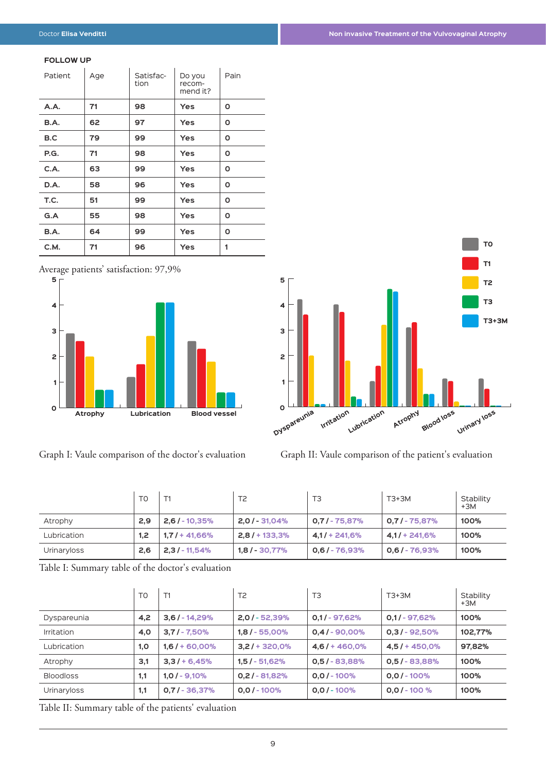#### **FOLLOW UP**

| Patient | Age | Satisfac-<br>tion | Do you<br>recom-<br>mend it? | Pain |
|---------|-----|-------------------|------------------------------|------|
| A.A.    | 71  | 98                | <b>Yes</b>                   | Ο    |
| B.A.    | 62  | 97                | <b>Yes</b>                   | O    |
| B.C     | 79  | 99                | <b>Yes</b>                   | Ο    |
| P.G.    | 71  | 98                | Yes                          | O    |
| C.A.    | 63  | 99                | <b>Yes</b>                   | Ο    |
| D.A.    | 58  | 96                | <b>Yes</b>                   | Ο    |
| T.C.    | 51  | 99                | <b>Yes</b>                   | 0    |
| G.A     | 55  | 98                | Yes                          | O    |
| B.A.    | 64  | 99                | Yes                          | Ο    |
| C.M.    | 71  | 96                | Yes                          | 1    |

Average patients' satisfaction: 97,9%

![](_page_8_Figure_5.jpeg)

Graph I: Vaule comparison of the doctor's evaluation Graph II: Vaule comparison of the patient's evaluation

![](_page_8_Figure_7.jpeg)

|             | T <sub>0</sub> | T1               | T <sub>2</sub>  | T <sub>3</sub>    | $T3+3M$           | Stability<br>$+3M$ |
|-------------|----------------|------------------|-----------------|-------------------|-------------------|--------------------|
| Atrophy     | 2,9            | $2,6/ - 10,35%$  | $2,0/ - 31,04%$ | $0.7 / - 75.87\%$ | $0.7 / - 75.87\%$ | 100%               |
| Lubrication | 1.2            | $1,7/ + 41,66\%$ | $2,8/$ + 133,3% | $4.1/ + 241.6%$   | $4.1/ + 241.6%$   | 100%               |
| Urinaryloss | 2,6            | $2,3/ - 11,54%$  | $1,8/ - 30,77%$ | $0,6/ - 76,93%$   | $0.6 / - 76.93\%$ | 100%               |

Table I: Summary table of the doctor's evaluation

|                  | T <sub>0</sub> | T1               | T <sub>2</sub>  | T <sub>3</sub>   | T3+3M           | Stability<br>+3M |
|------------------|----------------|------------------|-----------------|------------------|-----------------|------------------|
| Dyspareunia      | 4,2            | $3,6$ / - 14,29% | $2,0/ - 52,39%$ | $0,1/-97,62%$    | $0,1/-97,62%$   | 100%             |
| Irritation       | 4,0            | $3,7/ - 7,50%$   | $1,8/ - 55,00%$ | $0,4/$ - 90,00%  | $0,3/ - 92,50%$ | 102,77%          |
| Lubrication      | 1,0            | $1,6/ + 60,00%$  | $3,2/$ + 320,0% | $4,6$ / + 460,0% | $4,5/ + 450,0%$ | 97,82%           |
| Atrophy          | 3,1            | $3,3/ + 6,45%$   | $1,5/ - 51,62%$ | $0,5/ - 83,88%$  | $0,5/ - 83,88%$ | 100%             |
| <b>Bloodloss</b> | 1,1            | $1,0/ - 9,10%$   | $0,2/ - 81,82%$ | $0.0$ / - 100%   | $0.0$ / - 100%  | 100%             |
| Urinaryloss      | 1,1            | $0,7/ - 36,37%$  | $0.0$ / - 100%  | $0.0$ / - 100%   | $0.0$ / - 100 % | 100%             |

Table II: Summary table of the patients' evaluation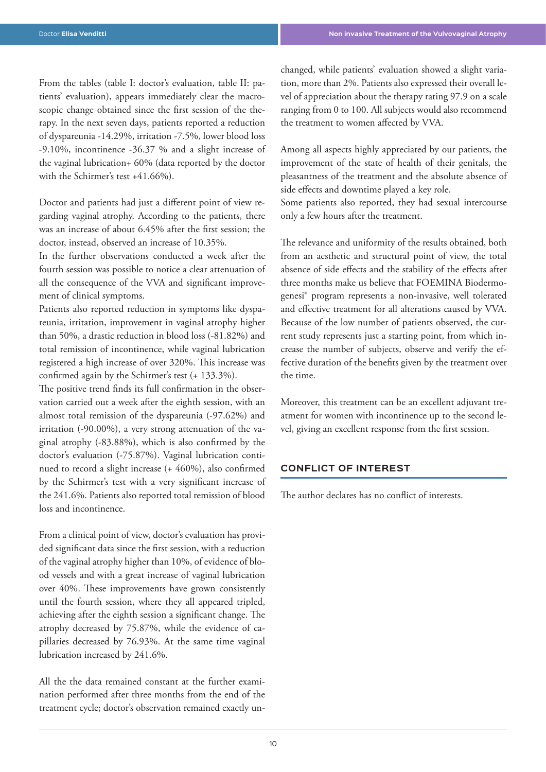From the tables (table I: doctor's evaluation, table II: patients' evaluation), appears immediately clear the macroscopic change obtained since the first session of the therapy. In the next seven days, patients reported a reduction of dyspareunia -14.29%, irritation -7.5%, lower blood loss -9.10%, incontinence -36.37 % and a slight increase of the vaginal lubrication+ 60% (data reported by the doctor with the Schirmer's test +41.66%).

Doctor and patients had just a different point of view regarding vaginal atrophy. According to the patients, there was an increase of about 6.45% after the first session; the doctor, instead, observed an increase of 10.35%.

In the further observations conducted a week after the fourth session was possible to notice a clear attenuation of all the consequence of the VVA and significant improvement of clinical symptoms.

Patients also reported reduction in symptoms like dyspareunia, irritation, improvement in vaginal atrophy higher than 50%, a drastic reduction in blood loss (-81.82%) and total remission of incontinence, while vaginal lubrication registered a high increase of over 320%. This increase was confirmed again by the Schirmer's test (+ 133.3%).

The positive trend finds its full confirmation in the observation carried out a week after the eighth session, with an almost total remission of the dyspareunia (-97.62%) and irritation (-90.00%), a very strong attenuation of the vaginal atrophy (-83.88%), which is also confirmed by the doctor's evaluation (-75.87%). Vaginal lubrication continued to record a slight increase (+ 460%), also confirmed by the Schirmer's test with a very significant increase of the 241.6%. Patients also reported total remission of blood loss and incontinence.

From a clinical point of view, doctor's evaluation has provided significant data since the first session, with a reduction of the vaginal atrophy higher than 10%, of evidence of blood vessels and with a great increase of vaginal lubrication over 40%. These improvements have grown consistently until the fourth session, where they all appeared tripled, achieving after the eighth session a significant change. The atrophy decreased by 75.87%, while the evidence of capillaries decreased by 76.93%. At the same time vaginal lubrication increased by 241.6%.

All the the data remained constant at the further examination performed after three months from the end of the treatment cycle; doctor's observation remained exactly unchanged, while patients' evaluation showed a slight variation, more than 2%. Patients also expressed their overall level of appreciation about the therapy rating 97.9 on a scale ranging from 0 to 100. All subjects would also recommend the treatment to women affected by VVA.

Among all aspects highly appreciated by our patients, the improvement of the state of health of their genitals, the pleasantness of the treatment and the absolute absence of side effects and downtime played a key role.

Some patients also reported, they had sexual intercourse only a few hours after the treatment.

The relevance and uniformity of the results obtained, both from an aesthetic and structural point of view, the total absence of side effects and the stability of the effects after three months make us believe that FOEMINA Biodermogenesi® program represents a non-invasive, well tolerated and effective treatment for all alterations caused by VVA. Because of the low number of patients observed, the current study represents just a starting point, from which increase the number of subjects, observe and verify the effective duration of the benefits given by the treatment over the time.

Moreover, this treatment can be an excellent adjuvant treatment for women with incontinence up to the second level, giving an excellent response from the first session.

# **CONFLICT OF INTEREST**

The author declares has no conflict of interests.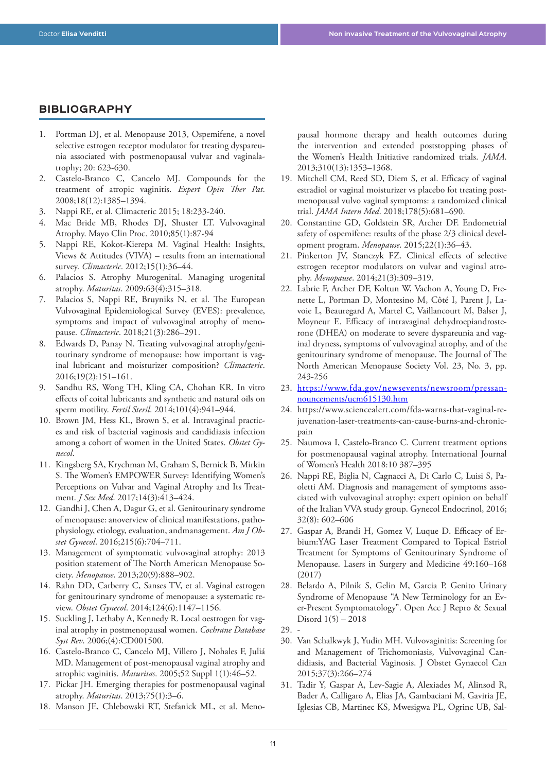# **BIBLIOGRAPHY**

- 1. Portman DJ, et al. Menopause 2013, Ospemifene, a novel selective estrogen receptor modulator for treating dyspareunia associated with postmenopausal vulvar and vaginalatrophy; 20: 623-630.
- 2. Castelo-Branco C, Cancelo MJ. Compounds for the treatment of atropic vaginitis. *Expert Opin Ther Pat*. 2008;18(12):1385–1394.
- 3. Nappi RE, et al. Climacteric 2015; 18:233-240.
- 4. Mac Bride MB, Rhodes DJ, Shuster LT. Vulvovaginal Atrophy. Mayo Clin Proc. 2010;85(1):87-94
- 5. Nappi RE, Kokot-Kierepa M. Vaginal Health: Insights, Views & Attitudes (VIVA) – results from an international survey. *Climacteric*. 2012;15(1):36–44.
- 6. Palacios S. Atrophy Murogenital. Managing urogenital atrophy. *Maturitas*. 2009;63(4):315–318.
- 7. Palacios S, Nappi RE, Bruyniks N, et al. The European Vulvovaginal Epidemiological Survey (EVES): prevalence, symptoms and impact of vulvovaginal atrophy of menopause. *Climacteric*. 2018;21(3):286–291.
- 8. Edwards D, Panay N. Treating vulvovaginal atrophy/genitourinary syndrome of menopause: how important is vaginal lubricant and moisturizer composition? *Climacteric*. 2016;19(2):151–161.
- 9. Sandhu RS, Wong TH, Kling CA, Chohan KR. In vitro effects of coital lubricants and synthetic and natural oils on sperm motility. *Fertil Steril*. 2014;101(4):941–944.
- 10. Brown JM, Hess KL, Brown S, et al. Intravaginal practices and risk of bacterial vaginosis and candidiasis infection among a cohort of women in the United States. *Obstet Gynecol*.
- 11. Kingsberg SA, Krychman M, Graham S, Bernick B, Mirkin S. The Women's EMPOWER Survey: Identifying Women's Perceptions on Vulvar and Vaginal Atrophy and Its Treatment. *J Sex Med*. 2017;14(3):413–424.
- 12. Gandhi J, Chen A, Dagur G, et al. Genitourinary syndrome of menopause: anoverview of clinical manifestations, pathophysiology, etiology, evaluation, andmanagement. *Am J Obstet Gynecol*. 2016;215(6):704–711.
- 13. Management of symptomatic vulvovaginal atrophy: 2013 position statement of The North American Menopause Society. *Menopause*. 2013;20(9):888–902.
- 14. Rahn DD, Carberry C, Sanses TV, et al. Vaginal estrogen for genitourinary syndrome of menopause: a systematic review. *Obstet Gynecol*. 2014;124(6):1147–1156.
- 15. Suckling J, Lethaby A, Kennedy R. Local oestrogen for vaginal atrophy in postmenopausal women. *Cochrane Database Syst Rev*. 2006;(4):CD001500.
- 16. Castelo-Branco C, Cancelo MJ, Villero J, Nohales F, Juliá MD. Management of post-menopausal vaginal atrophy and atrophic vaginitis. *Maturitas*. 2005;52 Suppl 1(1):46–52.
- 17. Pickar JH. Emerging therapies for postmenopausal vaginal atrophy. *Maturitas*. 2013;75(1):3–6.
- 18. Manson JE, Chlebowski RT, Stefanick ML, et al. Meno-

pausal hormone therapy and health outcomes during the intervention and extended poststopping phases of the Women's Health Initiative randomized trials. *JAMA*. 2013;310(13):1353–1368.

- 19. Mitchell CM, Reed SD, Diem S, et al. Efficacy of vaginal estradiol or vaginal moisturizer vs placebo fot treating postmenopausal vulvo vaginal symptoms: a randomized clinical trial. *JAMA Intern Med*. 2018;178(5):681–690.
- 20. Constantine GD, Goldstein SR, Archer DF. Endometrial safety of ospemifene: results of the phase 2/3 clinical development program. *Menopause*. 2015;22(1):36–43.
- 21. Pinkerton JV, Stanczyk FZ. Clinical effects of selective estrogen receptor modulators on vulvar and vaginal atrophy. *Menopause*. 2014;21(3):309–319.
- 22. Labrie F, Archer DF, Koltun W, Vachon A, Young D, Frenette L, Portman D, Montesino M, Côté I, Parent J, Lavoie L, Beauregard A, Martel C, Vaillancourt M, Balser J, Moyneur E. Efficacy of intravaginal dehydroepiandrosterone (DHEA) on moderate to severe dyspareunia and vaginal dryness, symptoms of vulvovaginal atrophy, and of the genitourinary syndrome of menopause. The Journal of The North American Menopause Society Vol. 23, No. 3, pp. 243-256
- 23. https://www.fda.gov/newsevents/newsroom/pressannouncements/ucm615130.htm
- 24. https://www.sciencealert.com/fda-warns-that-vaginal-rejuvenation-laser-treatments-can-cause-burns-and-chronicpain
- 25. Naumova I, Castelo-Branco C. Current treatment options for postmenopausal vaginal atrophy. International Journal of Women's Health 2018:10 387–395
- 26. Nappi RE, Biglia N, Cagnacci A, Di Carlo C, Luisi S, Paoletti AM. Diagnosis and management of symptoms associated with vulvovaginal atrophy: expert opinion on behalf of the Italian VVA study group. Gynecol Endocrinol, 2016; 32(8): 602–606
- 27. Gaspar A, Brandi H, Gomez V, Luque D. Efficacy of Erbium:YAG Laser Treatment Compared to Topical Estriol Treatment for Symptoms of Genitourinary Syndrome of Menopause. Lasers in Surgery and Medicine 49:160–168 (2017)
- 28. Belardo A, Pilnik S, Gelin M, Garcia P. Genito Urinary Syndrome of Menopause "A New Terminology for an Ever-Present Symptomatology". Open Acc J Repro & Sexual Disord 1(5) – 2018
- 29. -
- 30. Van Schalkwyk J, Yudin MH. Vulvovaginitis: Screening for and Management of Trichomoniasis, Vulvovaginal Candidiasis, and Bacterial Vaginosis. J Obstet Gynaecol Can 2015;37(3):266–274
- 31. Tadir Y, Gaspar A, Lev-Sagie A, Alexiades M, Alinsod R, Bader A, Calligaro A, Elias JA, Gambaciani M, Gaviria JE, Iglesias CB, Martinec KS, Mwesigwa PL, Ogrinc UB, Sal-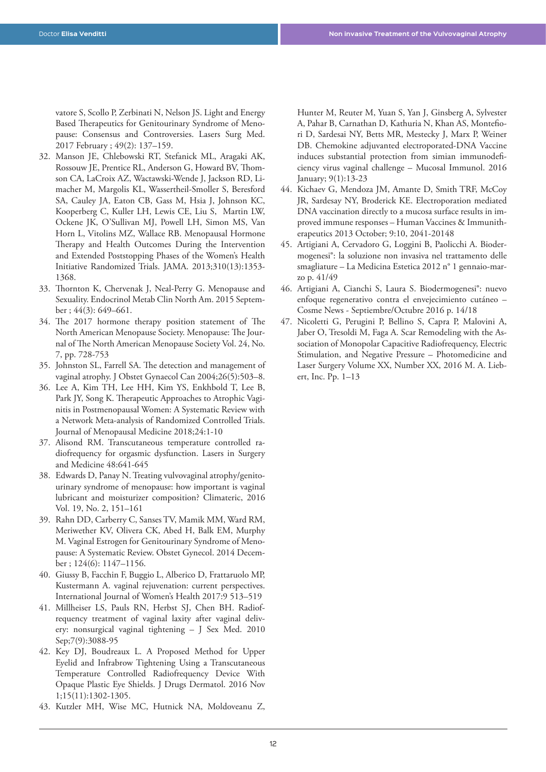vatore S, Scollo P, Zerbinati N, Nelson JS. Light and Energy Based Therapeutics for Genitourinary Syndrome of Menopause: Consensus and Controversies. Lasers Surg Med. 2017 February ; 49(2): 137–159.

- 32. Manson JE, Chlebowski RT, Stefanick ML, Aragaki AK, Rossouw JE, Prentice RL, Anderson G, Howard BV, Thomson CA, LaCroix AZ, Wactawski-Wende J, Jackson RD, Limacher M, Margolis KL, Wassertheil-Smoller S, Beresford SA, Cauley JA, Eaton CB, Gass M, Hsia J, Johnson KC, Kooperberg C, Kuller LH, Lewis CE, Liu S, Martin LW, Ockene JK, O'Sullivan MJ, Powell LH, Simon MS, Van Horn L, Vitolins MZ, Wallace RB. Menopausal Hormone Therapy and Health Outcomes During the Intervention and Extended Poststopping Phases of the Women's Health Initiative Randomized Trials. JAMA. 2013;310(13):1353- 1368.
- 33. Thornton K, Chervenak J, Neal-Perry G. Menopause and Sexuality. Endocrinol Metab Clin North Am. 2015 September ; 44(3): 649–661.
- 34. The 2017 hormone therapy position statement of The North American Menopause Society. Menopause: The Journal of The North American Menopause Society Vol. 24, No. 7, pp. 728-753
- 35. Johnston SL, Farrell SA. The detection and management of vaginal atrophy. J Obstet Gynaecol Can 2004;26(5):503–8.
- 36. Lee A, Kim TH, Lee HH, Kim YS, Enkhbold T, Lee B, Park JY, Song K. Therapeutic Approaches to Atrophic Vaginitis in Postmenopausal Women: A Systematic Review with a Network Meta-analysis of Randomized Controlled Trials. Journal of Menopausal Medicine 2018;24:1-10
- 37. Alisond RM. Transcutaneous temperature controlled radiofrequency for orgasmic dysfunction. Lasers in Surgery and Medicine 48:641-645
- 38. Edwards D, Panay N. Treating vulvovaginal atrophy/genitourinary syndrome of menopause: how important is vaginal lubricant and moisturizer composition? Climateric, 2016 Vol. 19, No. 2, 151–161
- 39. Rahn DD, Carberry C, Sanses TV, Mamik MM, Ward RM, Meriwether KV, Olivera CK, Abed H, Balk EM, Murphy M. Vaginal Estrogen for Genitourinary Syndrome of Menopause: A Systematic Review. Obstet Gynecol. 2014 December ; 124(6): 1147–1156.
- 40. Giussy B, Facchin F, Buggio L, Alberico D, Frattaruolo MP, Kustermann A. vaginal rejuvenation: current perspectives. International Journal of Women's Health 2017:9 513–519
- 41. Millheiser LS, Pauls RN, Herbst SJ, Chen BH. Radiofrequency treatment of vaginal laxity after vaginal delivery: nonsurgical vaginal tightening – J Sex Med. 2010 Sep;7(9):3088-95
- 42. Key DJ, Boudreaux L. A Proposed Method for Upper Eyelid and Infrabrow Tightening Using a Transcutaneous Temperature Controlled Radiofrequency Device With Opaque Plastic Eye Shields. J Drugs Dermatol. 2016 Nov 1;15(11):1302-1305.
- 43. Kutzler MH, Wise MC, Hutnick NA, Moldoveanu Z,

Hunter M, Reuter M, Yuan S, Yan J, Ginsberg A, Sylvester A, Pahar B, Carnathan D, Kathuria N, Khan AS, Montefiori D, Sardesai NY, Betts MR, Mestecky J, Marx P, Weiner DB. Chemokine adjuvanted electroporated-DNA Vaccine induces substantial protection from simian immunodeficiency virus vaginal challenge – Mucosal Immunol. 2016 January; 9(1):13-23

- 44. Kichaev G, Mendoza JM, Amante D, Smith TRF, McCoy JR, Sardesay NY, Broderick KE. Electroporation mediated DNA vaccination directly to a mucosa surface results in improved immune responses – Human Vaccines & Immunitherapeutics 2013 October; 9:10, 2041-20148
- 45. Artigiani A, Cervadoro G, Loggini B, Paolicchi A. Biodermogenesi®: la soluzione non invasiva nel trattamento delle smagliature – La Medicina Estetica 2012 n° 1 gennaio-marzo p. 41/49
- 46. Artigiani A, Cianchi S, Laura S. Biodermogenesi®: nuevo enfoque regenerativo contra el envejecimiento cutáneo – Cosme News - Septiembre/Octubre 2016 p. 14/18
- 47. Nicoletti G, Perugini P, Bellino S, Capra P, Malovini A, Jaber O, Tresoldi M, Faga A. Scar Remodeling with the Association of Monopolar Capacitive Radiofrequency, Electric Stimulation, and Negative Pressure – Photomedicine and Laser Surgery Volume XX, Number XX, 2016 M. A. Liebert, Inc. Pp. 1–13